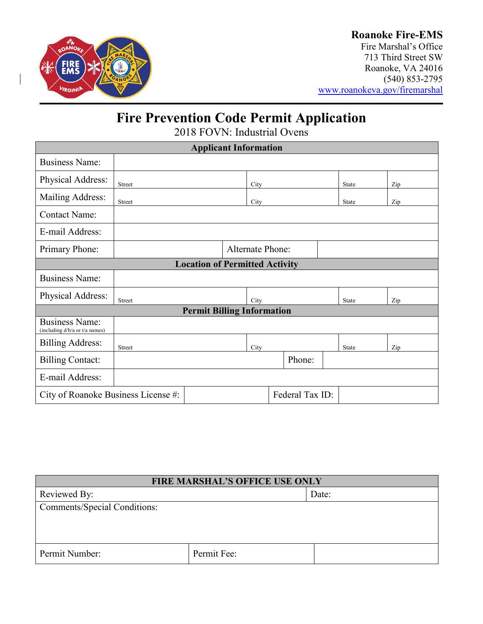

# **Roanoke Fire-EMS**

Fire Marshal's Office 713 Third Street SW Roanoke, VA 24016 (540) 853-2795 [www.roanokeva.gov/firemarshal](http://www.roanokeva.gov/firemarshal)

# **Fire Prevention Code Permit Application**

2018 FOVN: Industrial Ovens

| <b>Applicant Information</b>                            |                         |  |      |              |        |              |  |     |
|---------------------------------------------------------|-------------------------|--|------|--------------|--------|--------------|--|-----|
| <b>Business Name:</b>                                   |                         |  |      |              |        |              |  |     |
| Physical Address:                                       | Street<br>City          |  |      | <b>State</b> |        | Zip          |  |     |
| Mailing Address:                                        | Street                  |  | City |              |        | <b>State</b> |  | Zip |
| <b>Contact Name:</b>                                    |                         |  |      |              |        |              |  |     |
| E-mail Address:                                         |                         |  |      |              |        |              |  |     |
| Primary Phone:                                          | <b>Alternate Phone:</b> |  |      |              |        |              |  |     |
| <b>Location of Permitted Activity</b>                   |                         |  |      |              |        |              |  |     |
| <b>Business Name:</b>                                   |                         |  |      |              |        |              |  |     |
| Physical Address:                                       | <b>Street</b>           |  | City |              |        | State        |  | Zip |
| <b>Permit Billing Information</b>                       |                         |  |      |              |        |              |  |     |
| <b>Business Name:</b><br>(including d/b/a or t/a names) |                         |  |      |              |        |              |  |     |
| <b>Billing Address:</b>                                 | <b>Street</b>           |  | City |              |        | <b>State</b> |  | Zip |
| <b>Billing Contact:</b>                                 |                         |  |      |              | Phone: |              |  |     |
| E-mail Address:                                         |                         |  |      |              |        |              |  |     |
| Federal Tax ID:<br>City of Roanoke Business License #:  |                         |  |      |              |        |              |  |     |

| <b>FIRE MARSHAL'S OFFICE USE ONLY</b> |             |       |  |
|---------------------------------------|-------------|-------|--|
| Reviewed By:                          |             | Date: |  |
| <b>Comments/Special Conditions:</b>   |             |       |  |
|                                       |             |       |  |
|                                       |             |       |  |
| Permit Number:                        | Permit Fee: |       |  |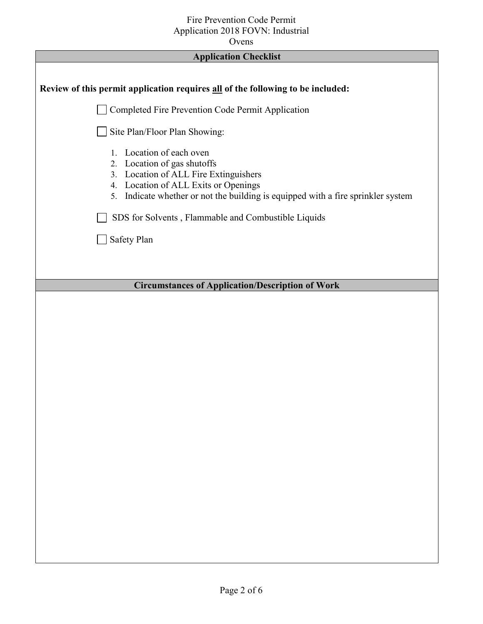### Fire Prevention Code Permit Application 2018 FOVN: Industrial

Ovens

| <b>Application Checklist</b>                                                                                                                                                                                                    |  |  |
|---------------------------------------------------------------------------------------------------------------------------------------------------------------------------------------------------------------------------------|--|--|
| Review of this permit application requires all of the following to be included:                                                                                                                                                 |  |  |
| Completed Fire Prevention Code Permit Application                                                                                                                                                                               |  |  |
| Site Plan/Floor Plan Showing:                                                                                                                                                                                                   |  |  |
| Location of each oven<br>1.<br>2. Location of gas shutoffs<br>3. Location of ALL Fire Extinguishers<br>4. Location of ALL Exits or Openings<br>5. Indicate whether or not the building is equipped with a fire sprinkler system |  |  |
| SDS for Solvents, Flammable and Combustible Liquids                                                                                                                                                                             |  |  |
| Safety Plan                                                                                                                                                                                                                     |  |  |
|                                                                                                                                                                                                                                 |  |  |
| <b>Circumstances of Application/Description of Work</b>                                                                                                                                                                         |  |  |
|                                                                                                                                                                                                                                 |  |  |
|                                                                                                                                                                                                                                 |  |  |
|                                                                                                                                                                                                                                 |  |  |
|                                                                                                                                                                                                                                 |  |  |
|                                                                                                                                                                                                                                 |  |  |
|                                                                                                                                                                                                                                 |  |  |
|                                                                                                                                                                                                                                 |  |  |
|                                                                                                                                                                                                                                 |  |  |
|                                                                                                                                                                                                                                 |  |  |
|                                                                                                                                                                                                                                 |  |  |
|                                                                                                                                                                                                                                 |  |  |
|                                                                                                                                                                                                                                 |  |  |
|                                                                                                                                                                                                                                 |  |  |
|                                                                                                                                                                                                                                 |  |  |
|                                                                                                                                                                                                                                 |  |  |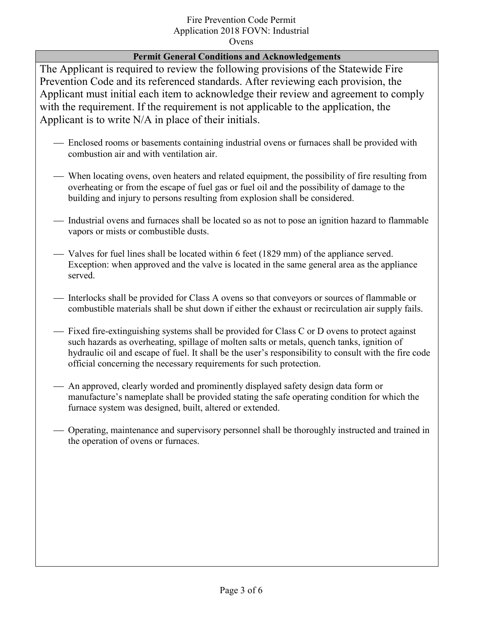## Fire Prevention Code Permit Application 2018 FOVN: Industrial

Ovens

#### **Permit General Conditions and Acknowledgements**

The Applicant is required to review the following provisions of the Statewide Fire Prevention Code and its referenced standards. After reviewing each provision, the Applicant must initial each item to acknowledge their review and agreement to comply with the requirement. If the requirement is not applicable to the application, the Applicant is to write N/A in place of their initials.

- Enclosed rooms or basements containing industrial ovens or furnaces shall be provided with combustion air and with ventilation air.
- When locating ovens, oven heaters and related equipment, the possibility of fire resulting from overheating or from the escape of fuel gas or fuel oil and the possibility of damage to the building and injury to persons resulting from explosion shall be considered.
- Industrial ovens and furnaces shall be located so as not to pose an ignition hazard to flammable vapors or mists or combustible dusts.
- Valves for fuel lines shall be located within 6 feet (1829 mm) of the appliance served. Exception: when approved and the valve is located in the same general area as the appliance served.
- Interlocks shall be provided for Class A ovens so that conveyors or sources of flammable or combustible materials shall be shut down if either the exhaust or recirculation air supply fails.
- Fixed fire-extinguishing systems shall be provided for Class C or D ovens to protect against such hazards as overheating, spillage of molten salts or metals, quench tanks, ignition of hydraulic oil and escape of fuel. It shall be the user's responsibility to consult with the fire code official concerning the necessary requirements for such protection.
- An approved, clearly worded and prominently displayed safety design data form or manufacture's nameplate shall be provided stating the safe operating condition for which the furnace system was designed, built, altered or extended.
- Operating, maintenance and supervisory personnel shall be thoroughly instructed and trained in the operation of ovens or furnaces.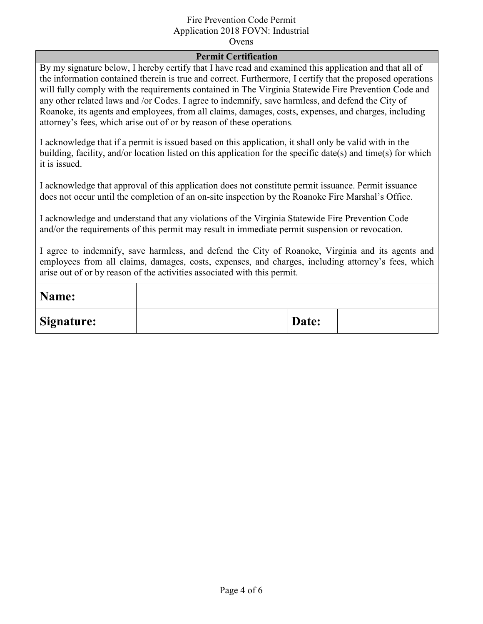#### Fire Prevention Code Permit Application 2018 FOVN: Industrial

Ovens

#### **Permit Certification**

By my signature below, I hereby certify that I have read and examined this application and that all of the information contained therein is true and correct. Furthermore, I certify that the proposed operations will fully comply with the requirements contained in The Virginia Statewide Fire Prevention Code and any other related laws and /or Codes. I agree to indemnify, save harmless, and defend the City of Roanoke, its agents and employees, from all claims, damages, costs, expenses, and charges, including attorney's fees, which arise out of or by reason of these operations.

I acknowledge that if a permit is issued based on this application, it shall only be valid with in the building, facility, and/or location listed on this application for the specific date(s) and time(s) for which it is issued.

I acknowledge that approval of this application does not constitute permit issuance. Permit issuance does not occur until the completion of an on-site inspection by the Roanoke Fire Marshal's Office.

I acknowledge and understand that any violations of the Virginia Statewide Fire Prevention Code and/or the requirements of this permit may result in immediate permit suspension or revocation.

I agree to indemnify, save harmless, and defend the City of Roanoke, Virginia and its agents and employees from all claims, damages, costs, expenses, and charges, including attorney's fees, which arise out of or by reason of the activities associated with this permit.

| Name:             |       |  |
|-------------------|-------|--|
| <b>Signature:</b> | Date: |  |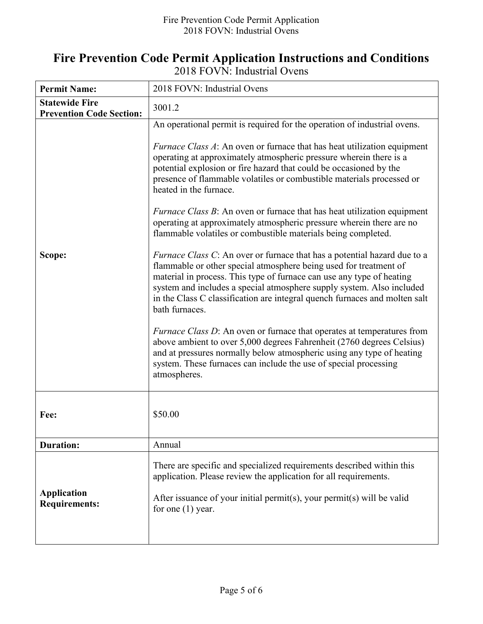## **Fire Prevention Code Permit Application Instructions and Conditions**  2018 FOVN: Industrial Ovens

| <b>Permit Name:</b>                                      | 2018 FOVN: Industrial Ovens                                                                                                                                                                                                                                                                                                                                                                                                                                                                                                                                                                                                                                                                                                                                                                                                                                                                                                                                                                                                                                                                                                                                                                                                                                                                                                                                               |  |
|----------------------------------------------------------|---------------------------------------------------------------------------------------------------------------------------------------------------------------------------------------------------------------------------------------------------------------------------------------------------------------------------------------------------------------------------------------------------------------------------------------------------------------------------------------------------------------------------------------------------------------------------------------------------------------------------------------------------------------------------------------------------------------------------------------------------------------------------------------------------------------------------------------------------------------------------------------------------------------------------------------------------------------------------------------------------------------------------------------------------------------------------------------------------------------------------------------------------------------------------------------------------------------------------------------------------------------------------------------------------------------------------------------------------------------------------|--|
| <b>Statewide Fire</b><br><b>Prevention Code Section:</b> | 3001.2                                                                                                                                                                                                                                                                                                                                                                                                                                                                                                                                                                                                                                                                                                                                                                                                                                                                                                                                                                                                                                                                                                                                                                                                                                                                                                                                                                    |  |
| Scope:                                                   | An operational permit is required for the operation of industrial ovens.<br><i>Furnace Class A</i> : An oven or furnace that has heat utilization equipment<br>operating at approximately atmospheric pressure wherein there is a<br>potential explosion or fire hazard that could be occasioned by the<br>presence of flammable volatiles or combustible materials processed or<br>heated in the furnace.<br><i>Furnace Class B</i> : An oven or furnace that has heat utilization equipment<br>operating at approximately atmospheric pressure wherein there are no<br>flammable volatiles or combustible materials being completed.<br><i>Furnace Class C</i> : An over or furnace that has a potential hazard due to a<br>flammable or other special atmosphere being used for treatment of<br>material in process. This type of furnace can use any type of heating<br>system and includes a special atmosphere supply system. Also included<br>in the Class C classification are integral quench furnaces and molten salt<br>bath furnaces.<br><i>Furnace Class D</i> : An oven or furnace that operates at temperatures from<br>above ambient to over 5,000 degrees Fahrenheit (2760 degrees Celsius)<br>and at pressures normally below atmospheric using any type of heating<br>system. These furnaces can include the use of special processing<br>atmospheres. |  |
| Fee:                                                     | \$50.00                                                                                                                                                                                                                                                                                                                                                                                                                                                                                                                                                                                                                                                                                                                                                                                                                                                                                                                                                                                                                                                                                                                                                                                                                                                                                                                                                                   |  |
| <b>Duration:</b>                                         | Annual                                                                                                                                                                                                                                                                                                                                                                                                                                                                                                                                                                                                                                                                                                                                                                                                                                                                                                                                                                                                                                                                                                                                                                                                                                                                                                                                                                    |  |
| <b>Application</b><br><b>Requirements:</b>               | There are specific and specialized requirements described within this<br>application. Please review the application for all requirements.<br>After issuance of your initial permit(s), your permit(s) will be valid<br>for one $(1)$ year.                                                                                                                                                                                                                                                                                                                                                                                                                                                                                                                                                                                                                                                                                                                                                                                                                                                                                                                                                                                                                                                                                                                                |  |